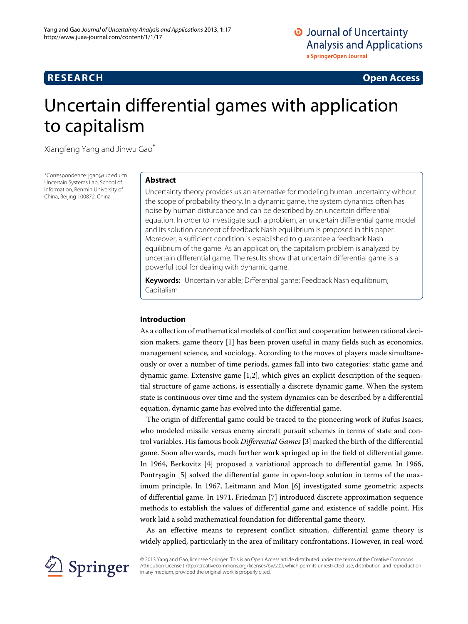# **RESEARCH Open Access**

# Uncertain differential games with application to capitalism

Xiangfeng Yang and Jinwu Gao\*

\*Correspondence: jgao@ruc.edu.cn Uncertain Systems Lab, School of Information, Renmin University of China, Beijing 100872, China

# **Abstract**

Uncertainty theory provides us an alternative for modeling human uncertainty without the scope of probability theory. In a dynamic game, the system dynamics often has noise by human disturbance and can be described by an uncertain differential equation. In order to investigate such a problem, an uncertain differential game model and its solution concept of feedback Nash equilibrium is proposed in this paper. Moreover, a sufficient condition is established to guarantee a feedback Nash equilibrium of the game. As an application, the capitalism problem is analyzed by uncertain differential game. The results show that uncertain differential game is a powerful tool for dealing with dynamic game.

**Keywords:** Uncertain variable; Differential game; Feedback Nash equilibrium; Capitalism

# **Introduction**

As a collection of mathematical models of conflict and cooperation between rational decision makers, game theory [\[1\]](#page-10-0) has been proven useful in many fields such as economics, management science, and sociology. According to the moves of players made simultaneously or over a number of time periods, games fall into two categories: static game and dynamic game. Extensive game [\[1](#page-10-0)[,2\]](#page-10-1), which gives an explicit description of the sequential structure of game actions, is essentially a discrete dynamic game. When the system state is continuous over time and the system dynamics can be described by a differential equation, dynamic game has evolved into the differential game.

The origin of differential game could be traced to the pioneering work of Rufus Isaacs, who modeled missile versus enemy aircraft pursuit schemes in terms of state and control variables. His famous book *Differential Games* [\[3\]](#page-10-2) marked the birth of the differential game. Soon afterwards, much further work springed up in the field of differential game. In 1964, Berkovitz [\[4\]](#page-10-3) proposed a variational approach to differential game. In 1966, Pontryagin [\[5\]](#page-10-4) solved the differential game in open-loop solution in terms of the maximum principle. In 1967, Leitmann and Mon [\[6\]](#page-10-5) investigated some geometric aspects of differential game. In 1971, Friedman [\[7\]](#page-10-6) introduced discrete approximation sequence methods to establish the values of differential game and existence of saddle point. His work laid a solid mathematical foundation for differential game theory.

As an effective means to represent conflict situation, differential game theory is widely applied, particularly in the area of military confrontations. However, in real-word



© 2013 Yang and Gao; licensee Springer. This is an Open Access article distributed under the terms of the Creative Commons Attribution License (http://creativecommons.org/licenses/by/2.0), which permits unrestricted use, distribution, and reproduction in any medium, provided the original work is properly cited.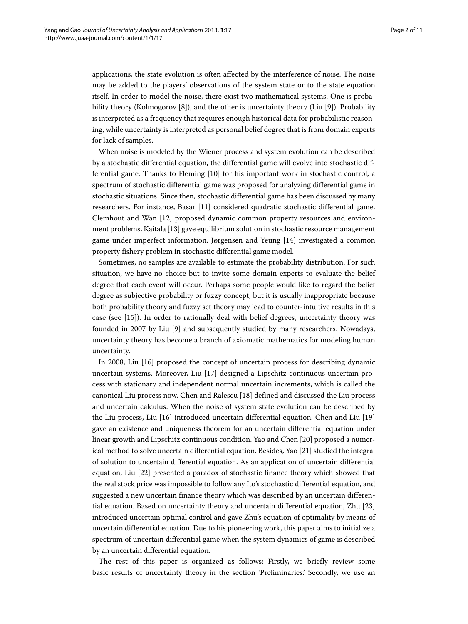applications, the state evolution is often affected by the interference of noise. The noise may be added to the players' observations of the system state or to the state equation itself. In order to model the noise, there exist two mathematical systems. One is probability theory (Kolmogorov [\[8\]](#page-10-7)), and the other is uncertainty theory (Liu [\[9\]](#page-10-8)). Probability is interpreted as a frequency that requires enough historical data for probabilistic reasoning, while uncertainty is interpreted as personal belief degree that is from domain experts for lack of samples.

When noise is modeled by the Wiener process and system evolution can be described by a stochastic differential equation, the differential game will evolve into stochastic differential game. Thanks to Fleming [\[10\]](#page-10-9) for his important work in stochastic control, a spectrum of stochastic differential game was proposed for analyzing differential game in stochastic situations. Since then, stochastic differential game has been discussed by many researchers. For instance, Basar [\[11\]](#page-10-10) considered quadratic stochastic differential game. Clemhout and Wan [\[12\]](#page-10-11) proposed dynamic common property resources and environment problems. Kaitala [\[13\]](#page-10-12) gave equilibrium solution in stochastic resource management game under imperfect information. Jørgensen and Yeung [\[14\]](#page-10-13) investigated a common property fishery problem in stochastic differential game model.

Sometimes, no samples are available to estimate the probability distribution. For such situation, we have no choice but to invite some domain experts to evaluate the belief degree that each event will occur. Perhaps some people would like to regard the belief degree as subjective probability or fuzzy concept, but it is usually inappropriate because both probability theory and fuzzy set theory may lead to counter-intuitive results in this case (see [\[15\]](#page-10-14)). In order to rationally deal with belief degrees, uncertainty theory was founded in 2007 by Liu [\[9\]](#page-10-8) and subsequently studied by many researchers. Nowadays, uncertainty theory has become a branch of axiomatic mathematics for modeling human uncertainty.

In 2008, Liu [\[16\]](#page-10-15) proposed the concept of uncertain process for describing dynamic uncertain systems. Moreover, Liu [\[17\]](#page-10-16) designed a Lipschitz continuous uncertain process with stationary and independent normal uncertain increments, which is called the canonical Liu process now. Chen and Ralescu [\[18\]](#page-10-17) defined and discussed the Liu process and uncertain calculus. When the noise of system state evolution can be described by the Liu process, Liu [\[16\]](#page-10-15) introduced uncertain differential equation. Chen and Liu [\[19\]](#page-10-18) gave an existence and uniqueness theorem for an uncertain differential equation under linear growth and Lipschitz continuous condition. Yao and Chen [\[20\]](#page-10-19) proposed a numerical method to solve uncertain differential equation. Besides, Yao [\[21\]](#page-10-20) studied the integral of solution to uncertain differential equation. As an application of uncertain differential equation, Liu [\[22\]](#page-10-21) presented a paradox of stochastic finance theory which showed that the real stock price was impossible to follow any Ito's stochastic differential equation, and suggested a new uncertain finance theory which was described by an uncertain differential equation. Based on uncertainty theory and uncertain differential equation, Zhu [\[23\]](#page-10-22) introduced uncertain optimal control and gave Zhu's equation of optimality by means of uncertain differential equation. Due to his pioneering work, this paper aims to initialize a spectrum of uncertain differential game when the system dynamics of game is described by an uncertain differential equation.

The rest of this paper is organized as follows: Firstly, we briefly review some basic results of uncertainty theory in the section ['Preliminaries.'](#page-2-0) Secondly, we use an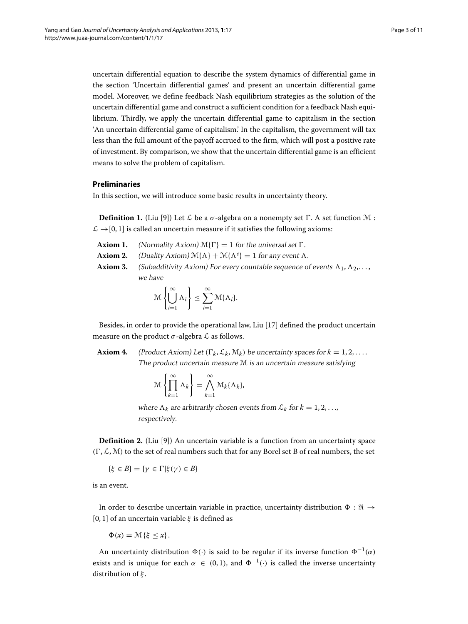uncertain differential equation to describe the system dynamics of differential game in the section ['Uncertain differential games'](#page-5-0) and present an uncertain differential game model. Moreover, we define feedback Nash equilibrium strategies as the solution of the uncertain differential game and construct a sufficient condition for a feedback Nash equilibrium. Thirdly, we apply the uncertain differential game to capitalism in the section ['An uncertain differential game of capitalism.'](#page-7-0) In the capitalism, the government will tax less than the full amount of the payoff accrued to the firm, which will post a positive rate of investment. By comparison, we show that the uncertain differential game is an efficient means to solve the problem of capitalism.

#### <span id="page-2-0"></span>**Preliminaries**

In this section, we will introduce some basic results in uncertainty theory.

**Definition 1.** (Liu [\[9\]](#page-10-8)) Let  $\mathcal{L}$  be a  $\sigma$ -algebra on a nonempty set  $\Gamma$ . A set function  $\mathcal{M}$  :  $\mathcal{L} \rightarrow [0, 1]$  is called an uncertain measure if it satisfies the following axioms:

- **Axiom 1.** (Normality Axiom)  $\mathcal{M}\{\Gamma\} = 1$  for the universal set  $\Gamma$ .
- **Axiom 2.** (Duality Axiom)  $\mathcal{M}\{\Lambda\} + \mathcal{M}\{\Lambda^c\} = 1$  for any event  $\Lambda$ .
- **Axiom 3.** (Subadditivity Axiom) For every countable sequence of events  $\Lambda_1, \Lambda_2, \ldots$ , we have

$$
\mathcal{M}\left\{\bigcup_{i=1}^{\infty}\Lambda_i\right\} \leq \sum_{i=1}^{\infty}\mathcal{M}\{\Lambda_i\}.
$$

Besides, in order to provide the operational law, Liu [\[17\]](#page-10-16) defined the product uncertain measure on the product  $\sigma$ -algebra  $\mathcal L$  as follows.

**Axiom 4.** (Product Axiom) Let  $(\Gamma_k, \mathcal{L}_k, \mathcal{M}_k)$  be uncertainty spaces for  $k = 1, 2, \ldots$ . The product uncertain measure M is an uncertain measure satisfying

$$
\mathcal{M}\left\{\prod_{k=1}^{\infty}\Lambda_k\right\}=\bigwedge_{k=1}^{\infty}\mathcal{M}_k\{\Lambda_k\},\
$$

where  $\Lambda_k$  are arbitrarily chosen events from  $\mathcal{L}_k$  for  $k = 1, 2, \ldots$ , respectively.

**Definition 2.** (Liu [\[9\]](#page-10-8)) An uncertain variable is a function from an uncertainty space  $(\Gamma, \mathcal{L}, \mathcal{M})$  to the set of real numbers such that for any Borel set B of real numbers, the set

$$
\{\xi\in B\}=\{\gamma\in\Gamma\vert\xi(\gamma)\in B\}
$$

is an event.

In order to describe uncertain variable in practice, uncertainty distribution  $\Phi : \Re \rightarrow$ [0, 1] of an uncertain variable *ξ* is defined as

$$
\Phi(x) = \mathcal{M}\left\{\xi \leq x\right\}.
$$

An uncertainty distribution  $\Phi(\cdot)$  is said to be regular if its inverse function  $\Phi^{-1}(\alpha)$ exists and is unique for each  $\alpha \in (0,1)$ , and  $\Phi^{-1}(\cdot)$  is called the inverse uncertainty distribution of *ξ* .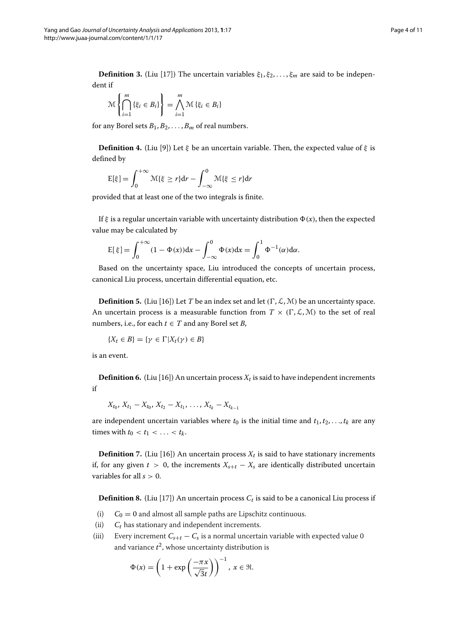**Definition 3.** (Liu [\[17\]](#page-10-16)) The uncertain variables  $\xi_1, \xi_2, \ldots, \xi_m$  are said to be independent if

$$
\mathcal{M}\left\{\bigcap_{i=1}^{m}\left\{\xi_{i} \in B_{i}\right\}\right\} = \bigwedge_{i=1}^{m} \mathcal{M}\left\{\xi_{i} \in B_{i}\right\}
$$

for any Borel sets  $B_1, B_2, \ldots, B_m$  of real numbers.

**Definition 4.** (Liu [\[9\]](#page-10-8)) Let *ξ* be an uncertain variable. Then, the expected value of *ξ* is defined by

$$
E[\xi] = \int_0^{+\infty} \mathcal{M}\{\xi \ge r\} dr - \int_{-\infty}^0 \mathcal{M}\{\xi \le r\} dr
$$

provided that at least one of the two integrals is finite.

If  $\xi$  is a regular uncertain variable with uncertainty distribution  $\Phi(x)$ , then the expected value may be calculated by

$$
E[\xi] = \int_0^{+\infty} (1 - \Phi(x)) dx - \int_{-\infty}^0 \Phi(x) dx = \int_0^1 \Phi^{-1}(\alpha) d\alpha.
$$

Based on the uncertainty space, Liu introduced the concepts of uncertain process, canonical Liu process, uncertain differential equation, etc.

**Definition 5.** (Liu [\[16\]](#page-10-15)) Let *T* be an index set and let  $(\Gamma, \mathcal{L}, \mathcal{M})$  be an uncertainty space. An uncertain process is a measurable function from  $T \times (\Gamma, \mathcal{L}, \mathcal{M})$  to the set of real numbers, i.e., for each  $t \in T$  and any Borel set *B*,

 ${X_t \in B} = {\gamma \in \Gamma | X_t(\gamma) \in B}$ 

is an event.

**Definition 6.** (Liu [\[16\]](#page-10-15)) An uncertain process  $X_t$  is said to have independent increments if

 $X_{t_0}, X_{t_1} - X_{t_0}, X_{t_2} - X_{t_1}, \ldots, X_{t_k} - X_{t_{k-1}}$ 

are independent uncertain variables where  $t_0$  is the initial time and  $t_1, t_2, \ldots, t_k$  are any times with  $t_0 < t_1 < \ldots < t_k$ .

**Definition 7.** (Liu [\[16\]](#page-10-15)) An uncertain process  $X_t$  is said to have stationary increments if, for any given  $t > 0$ , the increments  $X_{s+t} - X_s$  are identically distributed uncertain variables for all *s >* 0.

**Definition 8.** (Liu [\[17\]](#page-10-16)) An uncertain process  $C_t$  is said to be a canonical Liu process if

- (i)  $C_0 = 0$  and almost all sample paths are Lipschitz continuous.
- (ii)  $C_t$  has stationary and independent increments.
- (iii) Every increment  $C_{s+t} C_s$  is a normal uncertain variable with expected value 0 and variance  $t^2$ , whose uncertainty distribution is

$$
\Phi(x) = \left(1 + \exp\left(\frac{-\pi x}{\sqrt{3}t}\right)\right)^{-1}, \ x \in \mathfrak{R}.
$$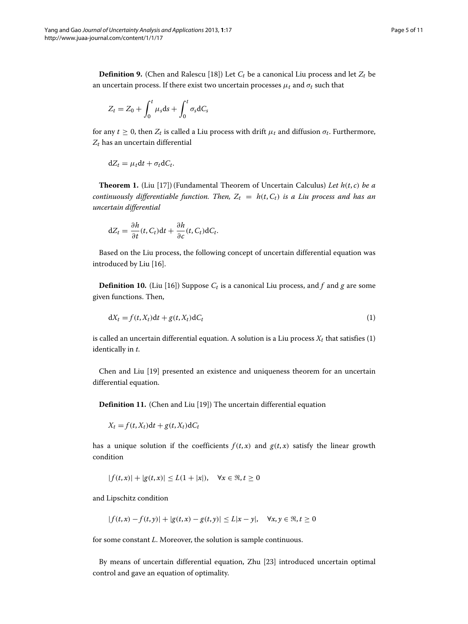**Definition 9.** (Chen and Ralescu [\[18\]](#page-10-17)) Let  $C_t$  be a canonical Liu process and let  $Z_t$  be an uncertain process. If there exist two uncertain processes  $\mu_t$  and  $\sigma_t$  such that

$$
Z_t = Z_0 + \int_0^t \mu_s \mathrm{d}s + \int_0^t \sigma_s \mathrm{d}C_s
$$

for any  $t \geq 0$ , then  $Z_t$  is called a Liu process with drift  $\mu_t$  and diffusion  $\sigma_t$ . Furthermore, *Zt* has an uncertain differential

$$
dZ_t = \mu_t dt + \sigma_t dC_t.
$$

<span id="page-4-1"></span>**Theorem 1.** (Liu [\[17\]](#page-10-16)) (Fundamental Theorem of Uncertain Calculus) *Let h(t*, *c) be a continuously differentiable function. Then,*  $Z_t = h(t, C_t)$  *is a Liu process and has an uncertain differential*

$$
dZ_t = \frac{\partial h}{\partial t}(t, C_t)dt + \frac{\partial h}{\partial c}(t, C_t)dC_t.
$$

Based on the Liu process, the following concept of uncertain differential equation was introduced by Liu [\[16\]](#page-10-15).

**Definition 10.** (Liu [\[16\]](#page-10-15)) Suppose  $C_t$  is a canonical Liu process, and  $f$  and  $g$  are some given functions. Then,

<span id="page-4-0"></span>
$$
dX_t = f(t, X_t)dt + g(t, X_t)dC_t
$$
\n(1)

is called an uncertain differential equation. A solution is a Liu process  $X_t$  that satisfies [\(1\)](#page-4-0) identically in *t*.

Chen and Liu [\[19\]](#page-10-18) presented an existence and uniqueness theorem for an uncertain differential equation.

**Definition 11.** (Chen and Liu [\[19\]](#page-10-18)) The uncertain differential equation

 $X_t = f(t, X_t)dt + g(t, X_t)dC_t$ 

has a unique solution if the coefficients  $f(t, x)$  and  $g(t, x)$  satisfy the linear growth condition

$$
|f(t,x)| + |g(t,x)| \le L(1+|x|), \quad \forall x \in \Re, t \ge 0
$$

and Lipschitz condition

$$
|f(t,x) - f(t,y)| + |g(t,x) - g(t,y)| \le L|x - y|, \quad \forall x, y \in \Re, t \ge 0
$$

for some constant *L*. Moreover, the solution is sample continuous.

By means of uncertain differential equation, Zhu [\[23\]](#page-10-22) introduced uncertain optimal control and gave an equation of optimality.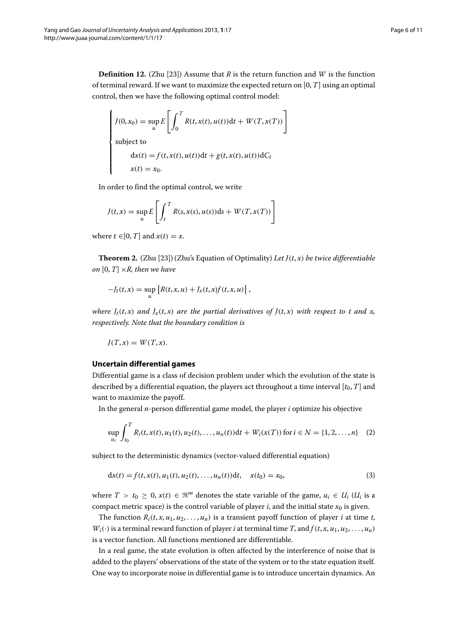**Definition 12.** (Zhu [\[23\]](#page-10-22)) Assume that *R* is the return function and *W* is the function of terminal reward. If we want to maximize the expected return on [0, *T*] using an optimal control, then we have the following optimal control model:

$$
\begin{cases}\nJ(0, x_0) = \sup_u E\left[\int_0^T R(t, x(t), u(t))dt + W(T, x(T))\right] \\
\text{subject to} \\
dx(t) = f(t, x(t), u(t))dt + g(t, x(t), u(t))dC_t \\
x(t) = x_0.\n\end{cases}
$$

In order to find the optimal control, we write

$$
J(t,x) = \sup_{u} E\left[\int_{t}^{T} R(s,x(s),u(s))ds + W(T,x(T))\right]
$$

where  $t \in [0, T]$  and  $x(t) = x$ .

<span id="page-5-1"></span>**Theorem 2.** (Zhu [\[23\]](#page-10-22)) (Zhu's Equation of Optimality) *Let*  $J(t, x)$  *be twice differentiable on*  $[0, T] \times R$ *, then we have* 

$$
-J_t(t,x) = \sup_u \left\{ R(t,x,u) + J_x(t,x)f(t,x,u) \right\},\,
$$

*where*  $J_t(t, x)$  *and*  $J_x(t, x)$  *are the partial derivatives of*  $J(t, x)$  *with respect to t and x, respectively. Note that the boundary condition is*

$$
J(T, x) = W(T, x).
$$

#### <span id="page-5-0"></span>**Uncertain differential games**

Differential game is a class of decision problem under which the evolution of the state is described by a differential equation, the players act throughout a time interval  $[t_0, T]$  and want to maximize the payoff.

In the general *n*-person differential game model, the player *i* optimize his objective

$$
\sup_{u_i} \int_{t_0}^T R_i(t, x(t), u_1(t), u_2(t), \dots, u_n(t)) dt + W_i(x(T)) \text{ for } i \in \mathbb{N} = \{1, 2, \dots, n\} \tag{2}
$$

subject to the deterministic dynamics (vector-valued differential equation)

$$
dx(t) = f(t, x(t), u_1(t), u_2(t), \dots, u_n(t))dt, \quad x(t_0) = x_0,
$$
\n(3)

where  $T > t_0 \geq 0$ ,  $x(t) \in \mathbb{R}^m$  denotes the state variable of the game,  $u_i \in U_i$  ( $U_i$  is a compact metric space) is the control variable of player  $i$ , and the initial state  $x_0$  is given.

The function  $R_i(t, x, u_1, u_2, \ldots, u_n)$  is a transient payoff function of player *i* at time *t*,  $W_i(\cdot)$  is a terminal reward function of player *i* at terminal time *T*, and  $f(t, x, u_1, u_2, \ldots, u_n)$ is a vector function. All functions mentioned are differentiable.

In a real game, the state evolution is often affected by the interference of noise that is added to the players' observations of the state of the system or to the state equation itself. One way to incorporate noise in differential game is to introduce uncertain dynamics. An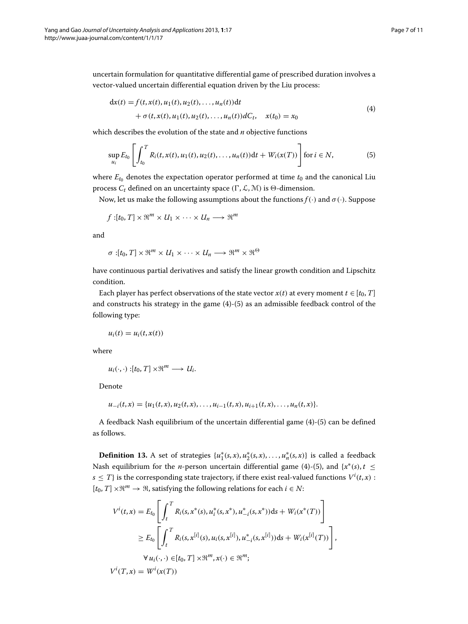uncertain formulation for quantitative differential game of prescribed duration involves a vector-valued uncertain differential equation driven by the Liu process:

<span id="page-6-1"></span><span id="page-6-0"></span>
$$
dx(t) = f(t, x(t), u_1(t), u_2(t), \dots, u_n(t))dt + \sigma(t, x(t), u_1(t), u_2(t), \dots, u_n(t))dC_t, \quad x(t_0) = x_0
$$
\n(4)

which describes the evolution of the state and *n* objective functions

$$
\sup_{u_i} E_{t_0} \left[ \int_{t_0}^T R_i(t, x(t), u_1(t), u_2(t), \dots, u_n(t)) dt + W_i(x(T)) \right] \text{ for } i \in \mathbb{N}, \tag{5}
$$

where  $E_{t_0}$  denotes the expectation operator performed at time  $t_0$  and the canonical Liu process  $C_t$  defined on an uncertainty space  $(\Gamma, \mathcal{L}, \mathcal{M})$  is  $\Theta$ -dimension.

Now, let us make the following assumptions about the functions  $f(\cdot)$  and  $\sigma(\cdot)$ . Suppose

$$
f:[t_0,T]\times\mathfrak{R}^m\times U_1\times\cdots\times U_n\longrightarrow\mathfrak{R}^m
$$

and

$$
\sigma:[t_0,T]\times\mathfrak{R}^m\times U_1\times\cdots\times U_n\longrightarrow\mathfrak{R}^m\times\mathfrak{R}^\Theta
$$

have continuous partial derivatives and satisfy the linear growth condition and Lipschitz condition.

Each player has perfect observations of the state vector  $x(t)$  at every moment  $t \in [t_0, T]$ and constructs his strategy in the game [\(4\)](#page-6-0)-[\(5\)](#page-6-1) as an admissible feedback control of the following type:

$$
u_i(t) = u_i(t, x(t))
$$

where

$$
u_i(\cdot,\cdot):[t_0,T]\times\mathfrak{R}^m\longrightarrow U_i.
$$

Denote

$$
u_{-i}(t,x) = \{u_1(t,x), u_2(t,x), \ldots, u_{i-1}(t,x), u_{i+1}(t,x), \ldots, u_n(t,x)\}.
$$

A feedback Nash equilibrium of the uncertain differential game [\(4\)](#page-6-0)-[\(5\)](#page-6-1) can be defined as follows.

**Definition 13.** A set of strategies  $\{u_1^*(s,x), u_2^*(s,x), \ldots, u_n^*(s,x)\}$  is called a feedback Nash equilibrium for the *n*-person uncertain differential game [\(4\)](#page-6-0)-[\(5\)](#page-6-1), and  $\{x^*(s), t \leq t\}$  $s \leq T$ } is the corresponding state trajectory, if there exist real-valued functions  $V^i(t, x)$  :  $[t_0, T] \times \mathbb{R}^m \to \mathbb{R}$ , satisfying the following relations for each  $i \in N$ :

$$
V^{i}(t,x) = E_{t_{0}} \left[ \int_{t}^{T} R_{i}(s, x^{*}(s), u_{i}^{*}(s, x^{*}), u_{-i}^{*}(s, x^{*})) ds + W_{i}(x^{*}(T)) \right]
$$
  
\n
$$
\geq E_{t_{0}} \left[ \int_{t}^{T} R_{i}(s, x^{[i]}(s), u_{i}(s, x^{[i]}), u_{-i}^{*}(s, x^{[i]})) ds + W_{i}(x^{[i]}(T)) \right],
$$
  
\n
$$
\forall u_{i}(\cdot, \cdot) \in [t_{0}, T] \times \mathbb{R}^{m}, x(\cdot) \in \mathbb{R}^{m};
$$

 $V^{i}(T, x) = W^{i}(x(T))$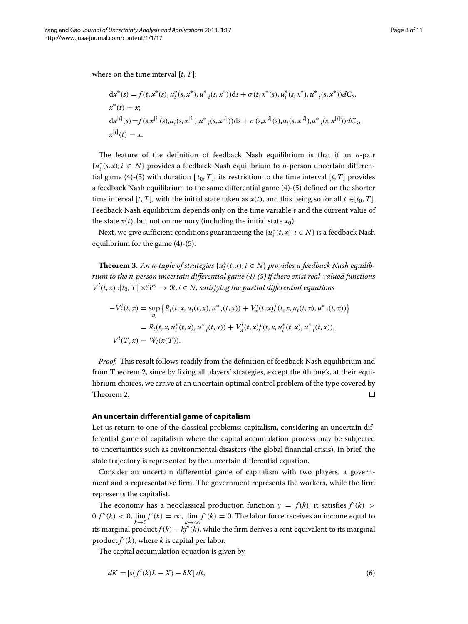where on the time interval [*t*, *T*]:

$$
dx^*(s) = f(t, x^*(s), u_i^*(s, x^*), u_{-i}^*(s, x^*)) ds + \sigma(t, x^*(s), u_i^*(s, x^*), u_{-i}^*(s, x^*)) dC_s,
$$
  
\n
$$
x^*(t) = x;
$$
  
\n
$$
dx^{[i]}(s) = f(s, x^{[i]}(s), u_i(s, x^{[i]}), u_{-i}^*(s, x^{[i]})) ds + \sigma(s, x^{[i]}(s), u_i(s, x^{[i]}), u_{-i}^*(s, x^{[i]})) dC_s,
$$
  
\n
$$
x^{[i]}(t) = x.
$$

The feature of the definition of feedback Nash equilibrium is that if an *n*-pair {*u*<sup>∗</sup> *<sup>i</sup> (s*, *x)*; *i* ∈ *N*} provides a feedback Nash equilibrium to *n*-person uncertain differen-tial game [\(4\)](#page-6-0)-[\(5\)](#page-6-1) with duration  $[t_0, T]$ , its restriction to the time interval  $[t, T]$  provides a feedback Nash equilibrium to the same differential game [\(4\)](#page-6-0)-[\(5\)](#page-6-1) defined on the shorter time interval [*t*, *T*], with the initial state taken as  $x(t)$ , and this being so for all  $t \in [t_0, T]$ . Feedback Nash equilibrium depends only on the time variable *t* and the current value of the state  $x(t)$ , but not on memory (including the initial state  $x_0$ ).

Next, we give sufficient conditions guaranteeing the  $\{u_i^*(t,x); i \in N\}$  is a feedback Nash equilibrium for the game [\(4\)](#page-6-0)-[\(5\)](#page-6-1).

<span id="page-7-1"></span>**Theorem 3.** An n-tuple of strategies  $\{u_i^*(t,x); i \in N\}$  provides a feedback Nash equilib*rium to the n-person uncertain differential game [\(4\)](#page-6-0)-[\(5\)](#page-6-1) if there exist real-valued functions*  $V^i(t, x) : [t_0, T] \times \mathbb{R}^m \to \mathbb{R}, i \in \mathbb{N}$ , satisfying the partial differential equations

$$
-V_t^i(t, x) = \sup_{u_i} \left\{ R_i(t, x, u_i(t, x), u_{-i}^*(t, x)) + V_x^i(t, x)f(t, x, u_i(t, x), u_{-i}^*(t, x)) \right\}
$$
  

$$
= R_i(t, x, u_i^*(t, x), u_{-i}^*(t, x)) + V_x^i(t, x)f(t, x, u_i^*(t, x), u_{-i}^*(t, x)),
$$
  

$$
V^i(T, x) = W_i(x(T)).
$$

*Proof.* This result follows readily from the definition of feedback Nash equilibrium and from Theorem [2,](#page-5-1) since by fixing all players' strategies, except the *i*th one's, at their equilibrium choices, we arrive at an uncertain optimal control problem of the type covered by Theorem [2.](#page-5-1)  $\Box$ 

#### <span id="page-7-0"></span>**An uncertain differential game of capitalism**

Let us return to one of the classical problems: capitalism, considering an uncertain differential game of capitalism where the capital accumulation process may be subjected to uncertainties such as environmental disasters (the global financial crisis). In brief, the state trajectory is represented by the uncertain differential equation.

Consider an uncertain differential game of capitalism with two players, a government and a representative firm. The government represents the workers, while the firm represents the capitalist.

The economy has a neoclassical production function  $y = f(k)$ ; it satisfies  $f'(k)$  >  $0, f''(k) < 0$ , lim *k*→0  $f'(k) = \infty$ ,  $\lim_{k \to \infty} f'(k) = 0$ . The labor force receives an income equal to its marginal  $product f(k) - kf'(k)$ , while the firm derives a rent equivalent to its marginal product  $f'(k)$ , where  $k$  is capital per labor.

The capital accumulation equation is given by

$$
dK = [s(f'(k)L - X) - \delta K] dt, \tag{6}
$$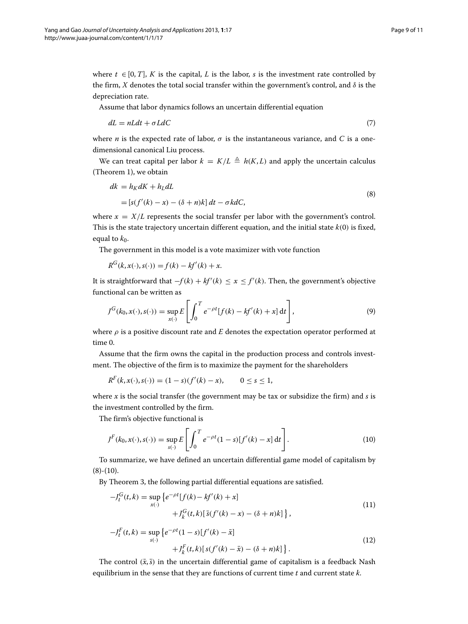where  $t \in [0, T]$ , *K* is the capital, *L* is the labor, *s* is the investment rate controlled by the firm, *X* denotes the total social transfer within the government's control, and  $\delta$  is the depreciation rate.

Assume that labor dynamics follows an uncertain differential equation

$$
dL = nLdt + \sigma LdC \tag{7}
$$

where *n* is the expected rate of labor,  $\sigma$  is the instantaneous variance, and *C* is a onedimensional canonical Liu process.

We can treat capital per labor  $k = K/L \triangleq h(K, L)$  and apply the uncertain calculus (Theorem [1\)](#page-4-1), we obtain

<span id="page-8-0"></span>
$$
dk = h_K dK + h_L dL
$$
  
=  $[s(f'(k) - x) - (\delta + n)k] dt - \sigma k dC,$  (8)

where  $x = X/L$  represents the social transfer per labor with the government's control. This is the state trajectory uncertain different equation, and the initial state *k(*0*)* is fixed, equal to  $k_0$ .

The government in this model is a vote maximizer with vote function

$$
R^{G}(k, x(\cdot), s(\cdot)) = f(k) - kf'(k) + x.
$$

It is straightforward that  $-f(k) + kf'(k) \le x \le f'(k)$ . Then, the government's objective functional can be written as

$$
J^{G}(k_0, x(\cdot), s(\cdot)) = \sup_{x(\cdot)} E\left[\int_0^T e^{-\rho t} [f(k) - kf'(k) + x] dt\right],
$$
\n(9)

where  $\rho$  is a positive discount rate and *E* denotes the expectation operator performed at time 0.

Assume that the firm owns the capital in the production process and controls investment. The objective of the firm is to maximize the payment for the shareholders

$$
R^{F}(k, x(\cdot), s(\cdot)) = (1 - s)(f'(k) - x), \qquad 0 \le s \le 1,
$$

where  $x$  is the social transfer (the government may be tax or subsidize the firm) and  $s$  is the investment controlled by the firm.

The firm's objective functional is

<span id="page-8-1"></span>
$$
J^{F}(k_0, x(\cdot), s(\cdot)) = \sup_{s(\cdot)} E\left[\int_0^T e^{-\rho t} (1-s)[f'(k) - x] dt\right].
$$
 (10)

To summarize, we have defined an uncertain differential game model of capitalism by  $(8)-(10)$  $(8)-(10)$  $(8)-(10)$ .

By Theorem [3,](#page-7-1) the following partial differential equations are satisfied.

<span id="page-8-2"></span>
$$
-J_t^G(t,k) = \sup_{x(\cdot)} \left\{ e^{-\rho t} [f(k) - kf'(k) + x] + J_k^G(t,k) [\bar{s}(f'(k) - x) - (\delta + n)k] \right\},\tag{11}
$$

<span id="page-8-3"></span>
$$
-J_t^F(t,k) = \sup_{s(\cdot)} \left\{ e^{-\rho t} (1-s) [f'(k) - \bar{x}] + J_k^F(t,k) [s(f'(k) - \bar{x}) - (\delta + n)k] \right\}.
$$
\n(12)

The control  $(\bar{x}, \bar{s})$  in the uncertain differential game of capitalism is a feedback Nash equilibrium in the sense that they are functions of current time *t* and current state *k*.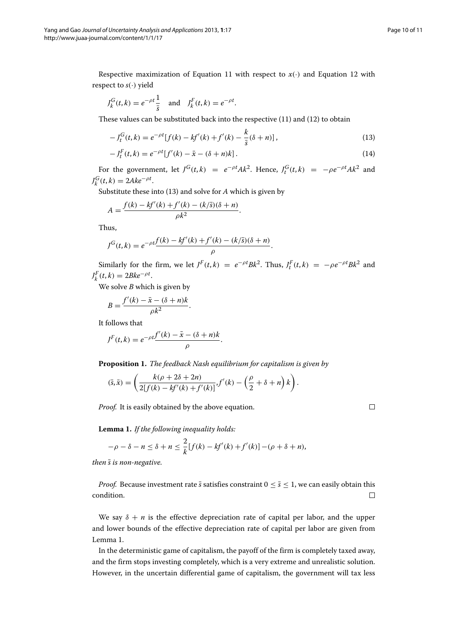$\Box$ 

Respective maximization of Equation [11](#page-8-2) with respect to  $x(\cdot)$  and Equation [12](#page-8-3) with respect to  $s(\cdot)$  yield

$$
J_k^G(t, k) = e^{-\rho t} \frac{1}{\bar{s}}
$$
 and  $J_k^F(t, k) = e^{-\rho t}$ .

These values can be substituted back into the respective [\(11\)](#page-8-2) and [\(12\)](#page-8-3) to obtain

<span id="page-9-0"></span>
$$
-J_t^G(t,k) = e^{-\rho t} [f(k) - kf'(k) + f'(k) - \frac{k}{\bar{s}}(\delta + n)],
$$
\n(13)

$$
-J_t^F(t,k) = e^{-\rho t} [f'(k) - \bar{x} - (\delta + n)k].
$$
\n(14)

For the government, let  $J^G(t,k) = e^{-\rho t}Ak^2$ . Hence,  $J_t^G(t,k) = -\rho e^{-\rho t}Ak^2$  and  $J_k^G(t, k) = 2Ake^{-\rho t}.$ 

Substitute these into [\(13\)](#page-9-0) and solve for *A* which is given by

$$
A = \frac{f(k) - kf'(k) + f'(k) - (k/\bar{s})(\delta + n)}{\rho k^2}.
$$

Thus,

$$
J^{G}(t,k) = e^{-\rho t} \frac{f(k) - kf'(k) + f'(k) - (k/\bar{s})(\delta + n)}{\rho}.
$$

Similarly for the firm, we let  $J^F(t,k) = e^{-\rho t} B k^2$ . Thus,  $J_t^F(t,k) = -\rho e^{-\rho t} B k^2$  and  $J_k^F(t, k) = 2Bke^{-\rho t}.$ 

We solve *B* which is given by

$$
B = \frac{f'(k) - \bar{x} - (\delta + n)k}{\rho k^2}.
$$

It follows that

$$
J^{F}(t,k) = e^{-\rho t} \frac{f'(k) - \bar{x} - (\delta + n)k}{\rho}.
$$

**Proposition 1.** *The feedback Nash equilibrium for capitalism is given by*

$$
(\bar{s}, \bar{x}) = \left(\frac{k(\rho + 2\delta + 2n)}{2[f(k) - kf'(k) + f'(k)]}, f'(k) - \left(\frac{\rho}{2} + \delta + n\right)k\right).
$$

*Proof.* It is easily obtained by the above equation.

<span id="page-9-1"></span>**Lemma 1.** *If the following inequality holds:*

$$
-\rho - \delta - n \leq \delta + n \leq \frac{2}{k} [f(k) - kf'(k) + f'(k)] - (\rho + \delta + n),
$$

*then*  $\bar{s}$  *is non-negative.* 

*Proof.* Because investment rate  $\bar{s}$  satisfies constraint  $0 \leq \bar{s} \leq 1$ , we can easily obtain this condition.  $\Box$ 

We say  $\delta + n$  is the effective depreciation rate of capital per labor, and the upper and lower bounds of the effective depreciation rate of capital per labor are given from Lemma [1.](#page-9-1)

In the deterministic game of capitalism, the payoff of the firm is completely taxed away, and the firm stops investing completely, which is a very extreme and unrealistic solution. However, in the uncertain differential game of capitalism, the government will tax less